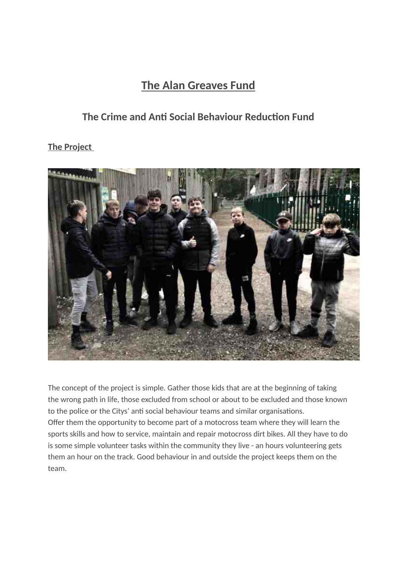# **The Alan Greaves Fund**

## **The Crime and Anti Social Behaviour Reduction Fund**

**The Project**



The concept of the project is simple. Gather those kids that are at the beginning of taking the wrong path in life, those excluded from school or about to be excluded and those known to the police or the Citys' anti social behaviour teams and similar organisations. Offer them the opportunity to become part of a motocross team where they will learn the sports skills and how to service, maintain and repair motocross dirt bikes. All they have to do is some simple volunteer tasks within the community they live - an hours volunteering gets them an hour on the track. Good behaviour in and outside the project keeps them on the team.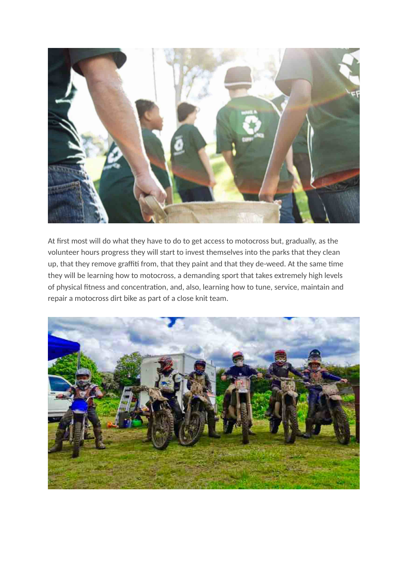

At first most will do what they have to do to get access to motocross but, gradually, as the volunteer hours progress they will start to invest themselves into the parks that they clean up, that they remove graffiti from, that they paint and that they de-weed. At the same time they will be learning how to motocross, a demanding sport that takes extremely high levels of physical fitness and concentration, and, also, learning how to tune, service, maintain and repair a motocross dirt bike as part of a close knit team.

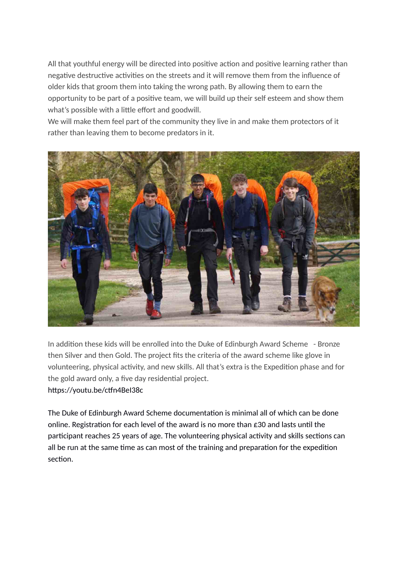All that youthful energy will be directed into positive action and positive learning rather than negative destructive activities on the streets and it will remove them from the influence of older kids that groom them into taking the wrong path. By allowing them to earn the opportunity to be part of a positive team, we will build up their self esteem and show them what's possible with a little effort and goodwill.

We will make them feel part of the community they live in and make them protectors of it rather than leaving them to become predators in it.



In addition these kids will be enrolled into the Duke of Edinburgh Award Scheme - Bronze then Silver and then Gold. The project fits the criteria of the award scheme like glove in volunteering, physical activity, and new skills. All that's extra is the Expedition phase and for the gold award only, a five day residential project. https://youtu.be/ctfn4BeI38c

The Duke of Edinburgh Award Scheme documentation is minimal all of which can be done online. Registration for each level of the award is no more than £30 and lasts until the participant reaches 25 years of age. The volunteering physical activity and skills sections can all be run at the same time as can most of the training and preparation for the expedition section.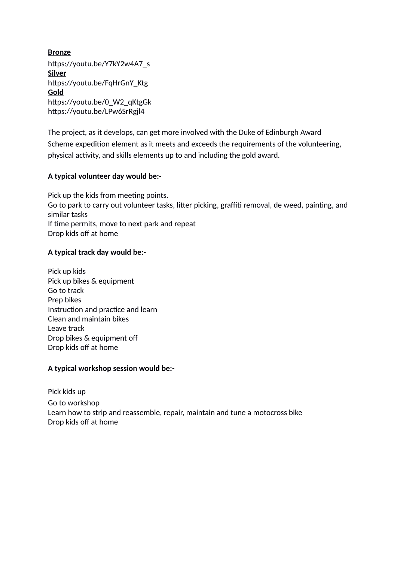**Bronze** https://youtu.be/Y7kY2w4A7\_s **Silver** https://youtu.be/FqHrGnY\_Ktg **Gold** https://youtu.be/0\_W2\_qKtgGk https://youtu.be/LPw6SrRgjl4

The project, as it develops, can get more involved with the Duke of Edinburgh Award Scheme expedition element as it meets and exceeds the requirements of the volunteering, physical activity, and skills elements up to and including the gold award.

## **A typical volunteer day would be:-**

Pick up the kids from meeting points. Go to park to carry out volunteer tasks, litter picking, graffiti removal, de weed, painting, and similar tasks If time permits, move to next park and repeat Drop kids off at home

## **A typical track day would be:-**

Pick up kids Pick up bikes & equipment Go to track Prep bikes Instruction and practice and learn Clean and maintain bikes Leave track Drop bikes & equipment off Drop kids off at home

## **A typical workshop session would be:-**

Pick kids up Go to workshop Learn how to strip and reassemble, repair, maintain and tune a motocross bike Drop kids off at home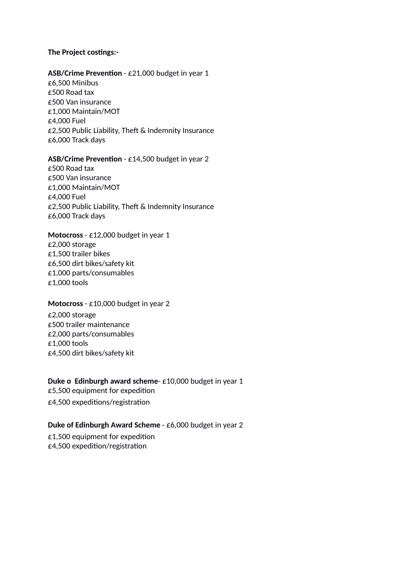### **The Project costings:-**

#### **ASB/Crime Prevention** - £21,000 budget in year 1

£6,500 Minibus £500 Road tax £500 Van insurance £1,000 Maintain/MOT £4,000 Fuel £2,500 Public Liability, Theft & Indemnity Insurance £6,000 Track days

#### **ASB/Crime Prevention** - £14,500 budget in year 2

£500 Road tax £500 Van insurance £1,000 Maintain/MOT £4,000 Fuel £2,500 Public Liability, Theft & Indemnity Insurance £6,000 Track days

## **Motocross** - £12,000 budget in year 1 £2,000 storage £1,500 trailer bikes £6,500 dirt bikes/safety kit £1,000 parts/consumables £1,000 tools

#### **Motocross** - £10,000 budget in year 2

£2,000 storage £500 trailer maintenance £2,000 parts/consumables £1,000 tools £4,500 dirt bikes/safety kit

#### **Duke o Edinburgh award scheme**- £10,000 budget in year 1

£5,500 equipment for expedition

£4,500 expeditions/registration

#### **Duke of Edinburgh Award Scheme** - £6,000 budget in year 2

£1,500 equipment for expedition £4,500 expedition/registration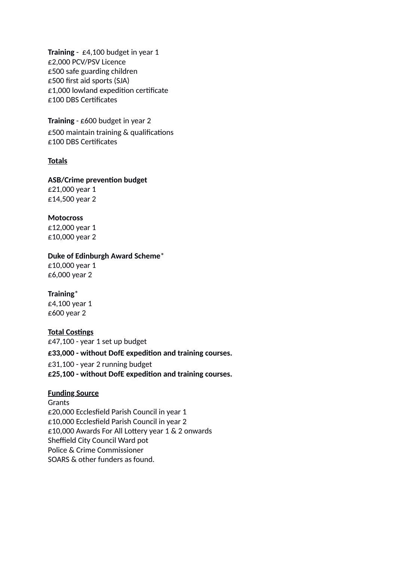**Training** - £4,100 budget in year 1 £2,000 PCV/PSV Licence £500 safe guarding children £500 first aid sports (SJA) £1,000 lowland expedition certificate £100 DBS Certificates

**Training** - £600 budget in year 2 £500 maintain training & qualifications £100 DBS Certificates

#### **Totals**

#### **ASB/Crime prevention budget**

£21,000 year 1 £14,500 year 2

#### **Motocross**

£12,000 year 1 £10,000 year 2

#### **Duke of Edinburgh Award Scheme**\*

£10,000 year 1 £6,000 year 2

#### **Training**\*

£4,100 year 1 £600 year 2

#### **Total Costings**

£47,100 - year 1 set up budget **£33,000 - without DofE expedition and training courses.** £31,100 - year 2 running budget **£25,100 - without DofE expedition and training courses.**

#### **Funding Source**

Grants £20,000 Ecclesfield Parish Council in year 1 £10,000 Ecclesfield Parish Council in year 2 £10,000 Awards For All Lottery year 1 & 2 onwards Sheffield City Council Ward pot Police & Crime Commissioner SOARS & other funders as found.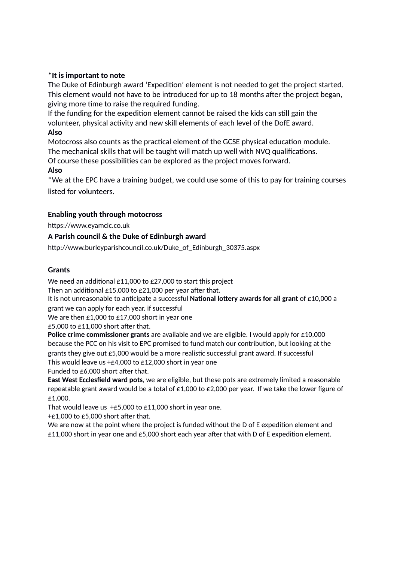## **\*It is important to note**

The Duke of Edinburgh award 'Expedition' element is not needed to get the project started. This element would not have to be introduced for up to 18 months after the project began, giving more time to raise the required funding.

If the funding for the expedition element cannot be raised the kids can still gain the volunteer, physical activity and new skill elements of each level of the DofE award. **Also**

Motocross also counts as the practical element of the GCSE physical education module. The mechanical skills that will be taught will match up well with NVQ qualifications.

Of course these possibilities can be explored as the project moves forward.

## **Also**

\*We at the EPC have a training budget, we could use some of this to pay for training courses listed for volunteers.

## **Enabling youth through motocross**

https://www.eyamcic.co.uk

## **A Parish council & the Duke of Edinburgh award**

http://www.burleyparishcouncil.co.uk/Duke\_of\_Edinburgh\_30375.aspx

#### **Grants**

We need an additional £11,000 to £27,000 to start this project

Then an additional £15,000 to £21,000 per year after that.

It is not unreasonable to anticipate a successful **National lottery awards for all grant** of £10,000 a grant we can apply for each year. if successful

We are then £1,000 to £17,000 short in year one

£5,000 to £11,000 short after that.

**Police crime commissioner grants** are available and we are eligible. I would apply for £10,000 because the PCC on his visit to EPC promised to fund match our contribution, but looking at the grants they give out £5,000 would be a more realistic successful grant award. If successful This would leave us  $+£4,000$  to £12,000 short in year one

Funded to £6,000 short after that.

**East West Ecclesfield ward pots**, we are eligible, but these pots are extremely limited a reasonable repeatable grant award would be a total of  $£1,000$  to  $£2,000$  per year. If we take the lower figure of £1,000.

That would leave us  $+£5,000$  to £11,000 short in year one.

+£1,000 to £5,000 short after that.

We are now at the point where the project is funded without the D of E expedition element and  $£11,000$  short in year one and £5,000 short each year after that with D of E expedition element.